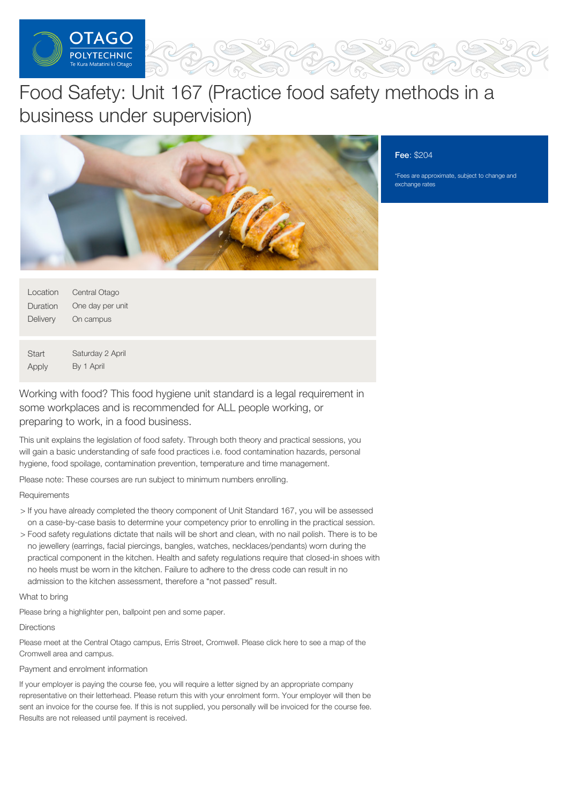

# Food Safety: Unit 167 (Practice food safety methods in a business under supervision)



#### Fee: \$204

\*Fees are approximate, subject to change and exchange rates

| Location | Central Otago    |
|----------|------------------|
| Duration | One day per unit |
| Delivery | On campus        |

**Start** Apply Saturday 2 April By 1 April

Working with food? This food hygiene unit standard is a legal requirement in some workplaces and is recommended for ALL people working, or preparing to work, in a food business.

This unit explains the legislation of food safety. Through both theory and practical sessions, you will gain a basic understanding of safe food practices i.e. food contamination hazards, personal hygiene, food spoilage, contamination prevention, temperature and time management.

Please note: These courses are run subject to minimum numbers enrolling.

## **Requirements**

- > If you have already completed the theory component of Unit Standard 167, you will be assessed on a case-by-case basis to determine your competency prior to enrolling in the practical session.
- > Food safety regulations dictate that nails will be short and clean, with no nail polish. There is to be no jewellery (earrings, facial piercings, bangles, watches, necklaces/pendants) worn during the practical component in the kitchen. Health and safety regulations require that closed-in shoes with no heels must be worn in the kitchen. Failure to adhere to the dress code can result in no admission to the kitchen assessment, therefore a "not passed" result.

What to bring

Please bring a highlighter pen, ballpoint pen and some paper.

#### **Directions**

Please meet at the Central Otago campus, Erris Street, Cromwell. Please click here to see a map of the Cromwell area and campus.

### Payment and enrolment information

If your employer is paying the course fee, you will require a letter signed by an appropriate company representative on their letterhead. Please return this with your enrolment form. Your employer will then be sent an invoice for the course fee. If this is not supplied, you personally will be invoiced for the course fee. Results are not released until payment is received.